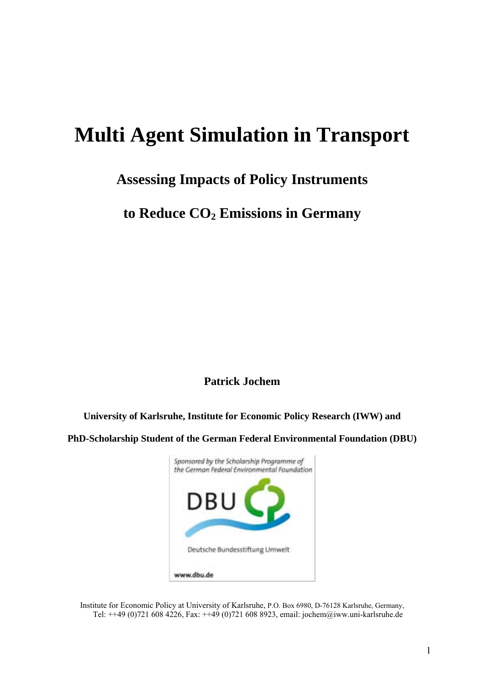# **Multi Agent Simulation in Transport**

## **Assessing Impacts of Policy Instruments**

to Reduce  $CO<sub>2</sub>$  Emissions in Germany

**Patrick Jochem** 

**University of Karlsruhe, Institute for Economic Policy Research (IWW) and** 

**PhD-Scholarship Student of the German Federal Environmental Foundation (DBU)** 



Institute for Economic Policy at University of Karlsruhe, P.O. Box 6980, D-76128 Karlsruhe, Germany, Tel: ++49 (0)721 608 4226, Fax: ++49 (0)721 608 8923, email: jochem@iww.uni-karlsruhe.de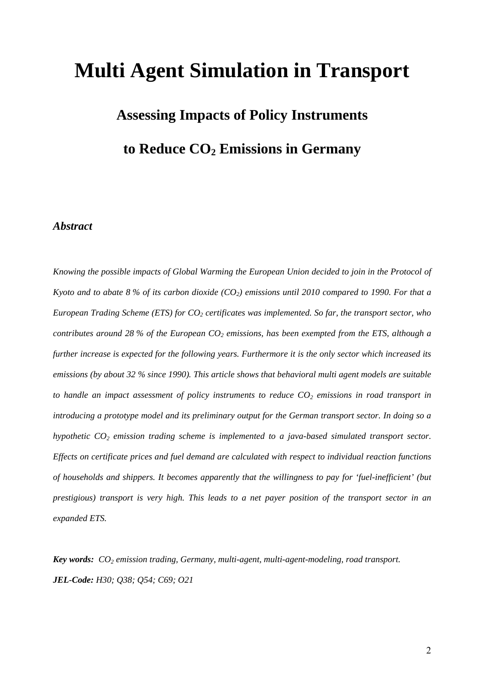# **Multi Agent Simulation in Transport**

# **Assessing Impacts of Policy Instruments**  to Reduce  $CO<sub>2</sub>$  Emissions in Germany

### *Abstract*

*Knowing the possible impacts of Global Warming the European Union decided to join in the Protocol of Kyoto and to abate 8 % of its carbon dioxide (CO<sub>2</sub>) emissions until 2010 compared to 1990. For that a European Trading Scheme (ETS) for CO<sub>2</sub> certificates was implemented. So far, the transport sector, who contributes around 28 % of the European*  $CO<sub>2</sub>$  *emissions, has been exempted from the ETS, although a further increase is expected for the following years. Furthermore it is the only sector which increased its emissions (by about 32 % since 1990). This article shows that behavioral multi agent models are suitable*  to handle an impact assessment of policy instruments to reduce  $CO<sub>2</sub>$  emissions in road transport in *introducing a prototype model and its preliminary output for the German transport sector. In doing so a hypothetic CO<sub>2</sub> emission trading scheme is implemented to a java-based simulated transport sector. Effects on certificate prices and fuel demand are calculated with respect to individual reaction functions of households and shippers. It becomes apparently that the willingness to pay for 'fuel-inefficient' (but prestigious) transport is very high. This leads to a net payer position of the transport sector in an expanded ETS.* 

*Key words: CO<sub>2</sub> emission trading, Germany, multi-agent, multi-agent-modeling, road transport. JEL-Code: H30; Q38; Q54; C69; O21*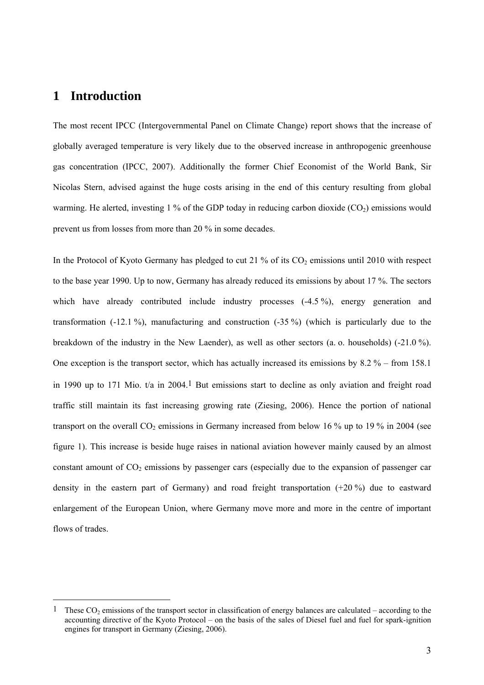## **1 Introduction**

 $\overline{a}$ 

The most recent IPCC (Intergovernmental Panel on Climate Change) report shows that the increase of globally averaged temperature is very likely due to the observed increase in anthropogenic greenhouse gas concentration (IPCC, 2007). Additionally the former Chief Economist of the World Bank, Sir Nicolas Stern, advised against the huge costs arising in the end of this century resulting from global warming. He alerted, investing 1 % of the GDP today in reducing carbon dioxide  $(CO<sub>2</sub>)$  emissions would prevent us from losses from more than 20 % in some decades.

In the Protocol of Kyoto Germany has pledged to cut 21 % of its  $CO<sub>2</sub>$  emissions until 2010 with respect to the base year 1990. Up to now, Germany has already reduced its emissions by about 17 %. The sectors which have already contributed include industry processes (-4.5 %), energy generation and transformation  $(-12.1\%)$ , manufacturing and construction  $(-35\%)$  (which is particularly due to the breakdown of the industry in the New Laender), as well as other sectors (a. o. households) (-21.0 %). One exception is the transport sector, which has actually increased its emissions by  $8.2\%$  – from 158.1 in 1990 up to 171 Mio.  $t/a$  in 2004.<sup>1</sup> But emissions start to decline as only aviation and freight road traffic still maintain its fast increasing growing rate (Ziesing, 2006). Hence the portion of national transport on the overall  $CO<sub>2</sub>$  emissions in Germany increased from below 16 % up to 19 % in 2004 (see figure 1). This increase is beside huge raises in national aviation however mainly caused by an almost constant amount of  $CO<sub>2</sub>$  emissions by passenger cars (especially due to the expansion of passenger car density in the eastern part of Germany) and road freight transportation (+20 %) due to eastward enlargement of the European Union, where Germany move more and more in the centre of important flows of trades.

<sup>&</sup>lt;sup>1</sup> These CO<sub>2</sub> emissions of the transport sector in classification of energy balances are calculated – according to the accounting directive of the Kyoto Protocol – on the basis of the sales of Diesel fuel and fuel for spark-ignition engines for transport in Germany (Ziesing, 2006).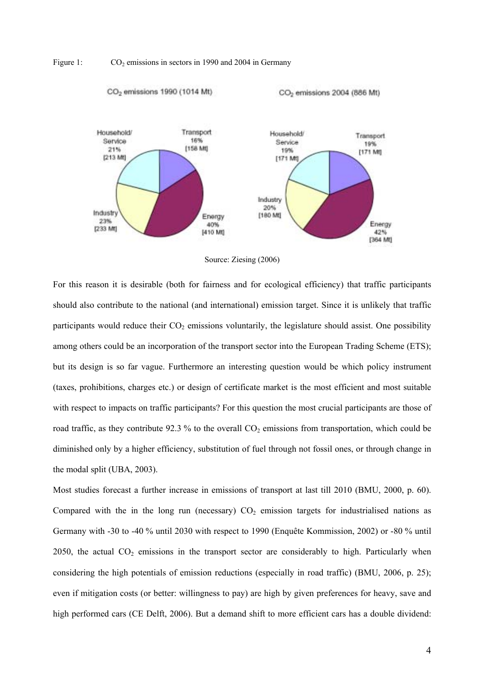





For this reason it is desirable (both for fairness and for ecological efficiency) that traffic participants should also contribute to the national (and international) emission target. Since it is unlikely that traffic participants would reduce their  $CO<sub>2</sub>$  emissions voluntarily, the legislature should assist. One possibility among others could be an incorporation of the transport sector into the European Trading Scheme (ETS); but its design is so far vague. Furthermore an interesting question would be which policy instrument (taxes, prohibitions, charges etc.) or design of certificate market is the most efficient and most suitable with respect to impacts on traffic participants? For this question the most crucial participants are those of road traffic, as they contribute 92.3 % to the overall  $CO<sub>2</sub>$  emissions from transportation, which could be diminished only by a higher efficiency, substitution of fuel through not fossil ones, or through change in the modal split (UBA, 2003).

Most studies forecast a further increase in emissions of transport at last till 2010 (BMU, 2000, p. 60). Compared with the in the long run (necessary)  $CO<sub>2</sub>$  emission targets for industrialised nations as Germany with -30 to -40  $\%$  until 2030 with respect to 1990 (Enquête Kommission, 2002) or -80  $\%$  until 2050, the actual  $CO<sub>2</sub>$  emissions in the transport sector are considerably to high. Particularly when considering the high potentials of emission reductions (especially in road traffic) (BMU, 2006, p. 25); even if mitigation costs (or better: willingness to pay) are high by given preferences for heavy, save and high performed cars (CE Delft, 2006). But a demand shift to more efficient cars has a double dividend: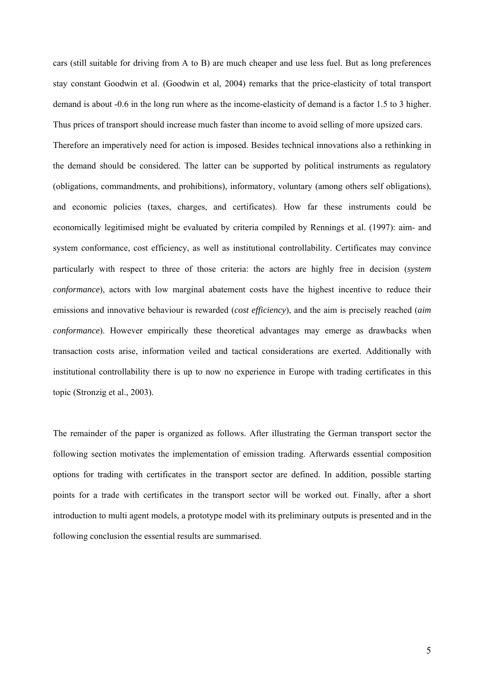cars (still suitable for driving from A to B) are much cheaper and use less fuel. But as long preferences stay constant Goodwin et al. (Goodwin et al, 2004) remarks that the price-elasticity of total transport demand is about -0.6 in the long run where as the income-elasticity of demand is a factor 1.5 to 3 higher. Thus prices of transport should increase much faster than income to avoid selling of more upsized cars.

Therefore an imperatively need for action is imposed. Besides technical innovations also a rethinking in the demand should be considered. The latter can be supported by political instruments as regulatory (obligations, commandments, and prohibitions), informatory, voluntary (among others self obligations), and economic policies (taxes, charges, and certificates). How far these instruments could be economically legitimised might be evaluated by criteria compiled by Rennings et al. (1997): aim- and system conformance, cost efficiency, as well as institutional controllability. Certificates may convince particularly with respect to three of those criteria: the actors are highly free in decision (*system conformance*), actors with low marginal abatement costs have the highest incentive to reduce their emissions and innovative behaviour is rewarded (*cost efficiency*), and the aim is precisely reached (*aim conformance*). However empirically these theoretical advantages may emerge as drawbacks when transaction costs arise, information veiled and tactical considerations are exerted. Additionally with institutional controllability there is up to now no experience in Europe with trading certificates in this topic (Stronzig et al., 2003).

The remainder of the paper is organized as follows. After illustrating the German transport sector the following section motivates the implementation of emission trading. Afterwards essential composition options for trading with certificates in the transport sector are defined. In addition, possible starting points for a trade with certificates in the transport sector will be worked out. Finally, after a short introduction to multi agent models, a prototype model with its preliminary outputs is presented and in the following conclusion the essential results are summarised.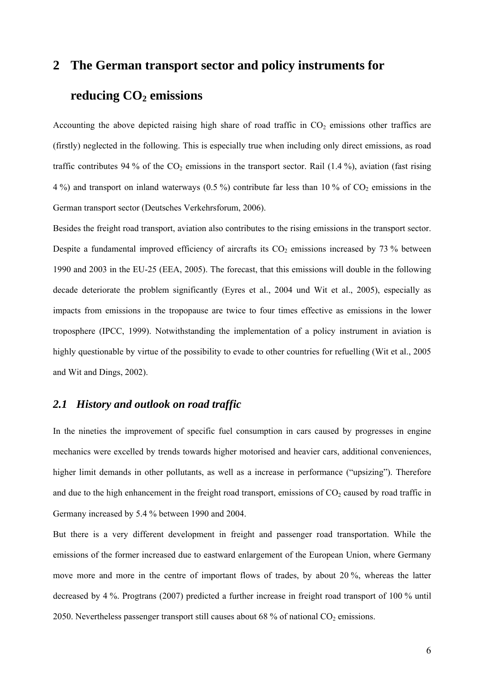# **2 The German transport sector and policy instruments for**  reducing CO<sub>2</sub> emissions

Accounting the above depicted raising high share of road traffic in  $CO<sub>2</sub>$  emissions other traffics are (firstly) neglected in the following. This is especially true when including only direct emissions, as road traffic contributes 94 % of the  $CO<sub>2</sub>$  emissions in the transport sector. Rail (1.4 %), aviation (fast rising 4 %) and transport on inland waterways (0.5 %) contribute far less than 10 % of  $CO<sub>2</sub>$  emissions in the German transport sector (Deutsches Verkehrsforum, 2006).

Besides the freight road transport, aviation also contributes to the rising emissions in the transport sector. Despite a fundamental improved efficiency of aircrafts its  $CO<sub>2</sub>$  emissions increased by 73 % between 1990 and 2003 in the EU-25 (EEA, 2005). The forecast, that this emissions will double in the following decade deteriorate the problem significantly (Eyres et al., 2004 und Wit et al., 2005), especially as impacts from emissions in the tropopause are twice to four times effective as emissions in the lower troposphere (IPCC, 1999). Notwithstanding the implementation of a policy instrument in aviation is highly questionable by virtue of the possibility to evade to other countries for refuelling (Wit et al., 2005 and Wit and Dings, 2002).

### *2.1 History and outlook on road traffic*

In the nineties the improvement of specific fuel consumption in cars caused by progresses in engine mechanics were excelled by trends towards higher motorised and heavier cars, additional conveniences, higher limit demands in other pollutants, as well as a increase in performance ("upsizing"). Therefore and due to the high enhancement in the freight road transport, emissions of  $CO<sub>2</sub>$  caused by road traffic in Germany increased by 5.4 % between 1990 and 2004.

But there is a very different development in freight and passenger road transportation. While the emissions of the former increased due to eastward enlargement of the European Union, where Germany move more and more in the centre of important flows of trades, by about 20 %, whereas the latter decreased by 4 %. Progtrans (2007) predicted a further increase in freight road transport of 100 % until 2050. Nevertheless passenger transport still causes about 68 % of national  $CO<sub>2</sub>$  emissions.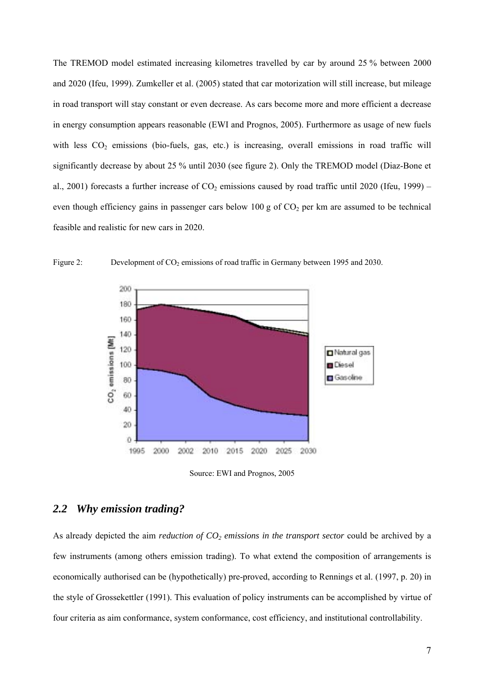The TREMOD model estimated increasing kilometres travelled by car by around 25 % between 2000 and 2020 (Ifeu, 1999). Zumkeller et al. (2005) stated that car motorization will still increase, but mileage in road transport will stay constant or even decrease. As cars become more and more efficient a decrease in energy consumption appears reasonable (EWI and Prognos, 2005). Furthermore as usage of new fuels with less  $CO<sub>2</sub>$  emissions (bio-fuels, gas, etc.) is increasing, overall emissions in road traffic will significantly decrease by about 25 % until 2030 (see figure 2). Only the TREMOD model (Diaz-Bone et al., 2001) forecasts a further increase of  $CO<sub>2</sub>$  emissions caused by road traffic until 2020 (Ifeu, 1999) – even though efficiency gains in passenger cars below 100 g of  $CO<sub>2</sub>$  per km are assumed to be technical feasible and realistic for new cars in 2020.



Figure 2: Development of  $CO<sub>2</sub>$  emissions of road traffic in Germany between 1995 and 2030.

Source: EWI and Prognos, 2005

### *2.2 Why emission trading?*

As already depicted the aim *reduction of CO<sub>2</sub> emissions in the transport sector* could be archived by a few instruments (among others emission trading). To what extend the composition of arrangements is economically authorised can be (hypothetically) pre-proved, according to Rennings et al. (1997, p. 20) in the style of Grossekettler (1991). This evaluation of policy instruments can be accomplished by virtue of four criteria as aim conformance, system conformance, cost efficiency, and institutional controllability.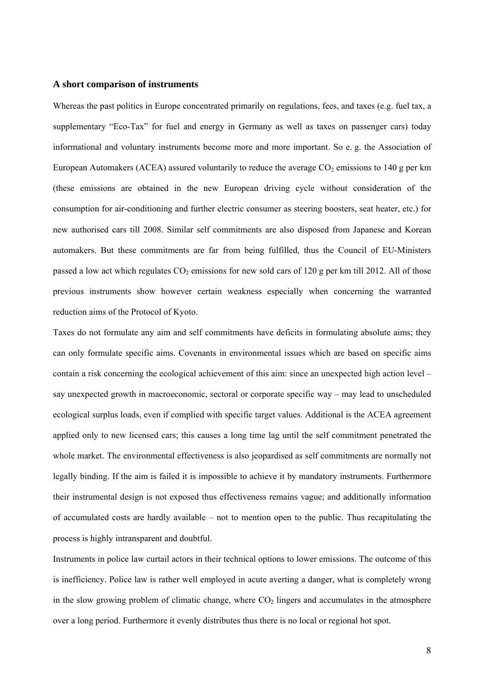#### **A short comparison of instruments**

Whereas the past politics in Europe concentrated primarily on regulations, fees, and taxes (e.g. fuel tax, a supplementary "Eco-Tax" for fuel and energy in Germany as well as taxes on passenger cars) today informational and voluntary instruments become more and more important. So e. g. the Association of European Automakers (ACEA) assured voluntarily to reduce the average  $CO<sub>2</sub>$  emissions to 140 g per km (these emissions are obtained in the new European driving cycle without consideration of the consumption for air-conditioning and further electric consumer as steering boosters, seat heater, etc.) for new authorised cars till 2008. Similar self commitments are also disposed from Japanese and Korean automakers. But these commitments are far from being fulfilled, thus the Council of EU-Ministers passed a low act which regulates  $CO<sub>2</sub>$  emissions for new sold cars of 120 g per km till 2012. All of those previous instruments show however certain weakness especially when concerning the warranted reduction aims of the Protocol of Kyoto.

Taxes do not formulate any aim and self commitments have deficits in formulating absolute aims; they can only formulate specific aims. Covenants in environmental issues which are based on specific aims contain a risk concerning the ecological achievement of this aim: since an unexpected high action level  $$ say unexpected growth in macroeconomic, sectoral or corporate specific way  $-$  may lead to unscheduled ecological surplus loads, even if complied with specific target values. Additional is the ACEA agreement applied only to new licensed cars; this causes a long time lag until the self commitment penetrated the whole market. The environmental effectiveness is also jeopardised as self commitments are normally not legally binding. If the aim is failed it is impossible to achieve it by mandatory instruments. Furthermore their instrumental design is not exposed thus effectiveness remains vague; and additionally information of accumulated costs are hardly available  $-$  not to mention open to the public. Thus recapitulating the process is highly intransparent and doubtful.

Instruments in police law curtail actors in their technical options to lower emissions. The outcome of this is inefficiency. Police law is rather well employed in acute averting a danger, what is completely wrong in the slow growing problem of climatic change, where  $CO<sub>2</sub>$  lingers and accumulates in the atmosphere over a long period. Furthermore it evenly distributes thus there is no local or regional hot spot.

8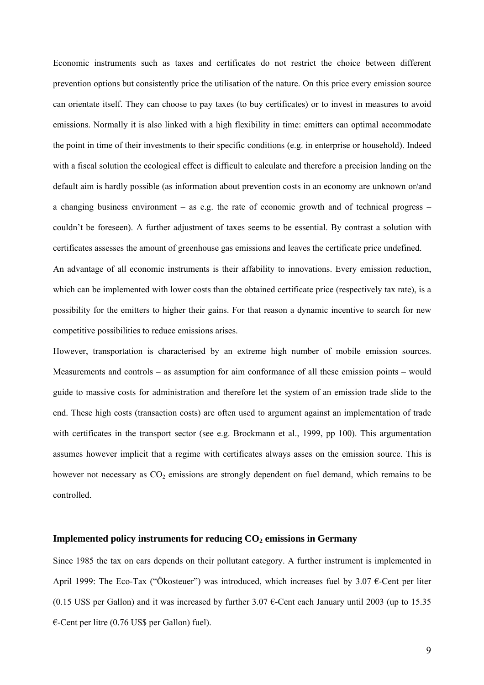Economic instruments such as taxes and certificates do not restrict the choice between different prevention options but consistently price the utilisation of the nature. On this price every emission source can orientate itself. They can choose to pay taxes (to buy certificates) or to invest in measures to avoid emissions. Normally it is also linked with a high flexibility in time: emitters can optimal accommodate the point in time of their investments to their specific conditions (e.g. in enterprise or household). Indeed with a fiscal solution the ecological effect is difficult to calculate and therefore a precision landing on the default aim is hardly possible (as information about prevention costs in an economy are unknown or/and a changing business environment – as e.g. the rate of economic growth and of technical progress – couldnít be foreseen). A further adjustment of taxes seems to be essential. By contrast a solution with certificates assesses the amount of greenhouse gas emissions and leaves the certificate price undefined. An advantage of all economic instruments is their affability to innovations. Every emission reduction, which can be implemented with lower costs than the obtained certificate price (respectively tax rate), is a

possibility for the emitters to higher their gains. For that reason a dynamic incentive to search for new competitive possibilities to reduce emissions arises.

However, transportation is characterised by an extreme high number of mobile emission sources. Measurements and controls  $-$  as assumption for aim conformance of all these emission points  $-$  would guide to massive costs for administration and therefore let the system of an emission trade slide to the end. These high costs (transaction costs) are often used to argument against an implementation of trade with certificates in the transport sector (see e.g. Brockmann et al., 1999, pp 100). This argumentation assumes however implicit that a regime with certificates always asses on the emission source. This is however not necessary as  $CO<sub>2</sub>$  emissions are strongly dependent on fuel demand, which remains to be controlled.

#### Implemented policy instruments for reducing  $CO<sub>2</sub>$  emissions in Germany

Since 1985 the tax on cars depends on their pollutant category. A further instrument is implemented in April 1999: The Eco-Tax ("Ökosteuer") was introduced, which increases fuel by 3.07  $\epsilon$ -Cent per liter (0.15 US\$ per Gallon) and it was increased by further  $3.07 \text{ }\epsilon$ -Cent each January until 2003 (up to 15.35)  $\epsilon$ -Cent per litre (0.76 US\$ per Gallon) fuel).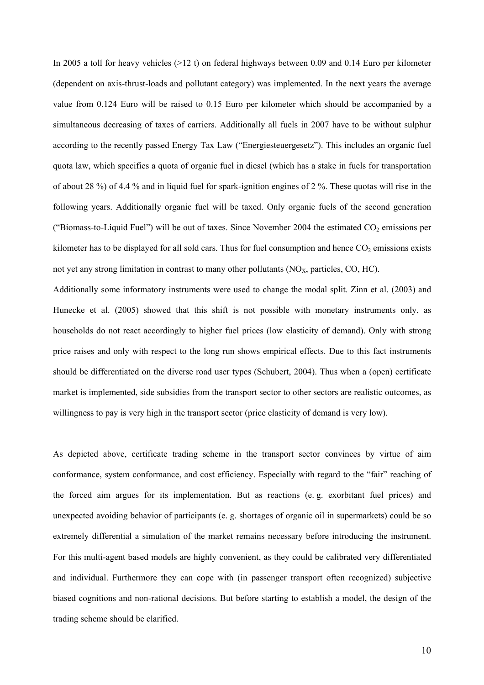In 2005 a toll for heavy vehicles (>12 t) on federal highways between 0.09 and 0.14 Euro per kilometer (dependent on axis-thrust-loads and pollutant category) was implemented. In the next years the average value from 0.124 Euro will be raised to 0.15 Euro per kilometer which should be accompanied by a simultaneous decreasing of taxes of carriers. Additionally all fuels in 2007 have to be without sulphur according to the recently passed Energy Tax Law ("Energiesteuergesetz"). This includes an organic fuel quota law, which specifies a quota of organic fuel in diesel (which has a stake in fuels for transportation of about 28 %) of 4.4 % and in liquid fuel for spark-ignition engines of 2 %. These quotas will rise in the following years. Additionally organic fuel will be taxed. Only organic fuels of the second generation ("Biomass-to-Liquid Fuel") will be out of taxes. Since November 2004 the estimated  $CO<sub>2</sub>$  emissions per kilometer has to be displayed for all sold cars. Thus for fuel consumption and hence  $CO<sub>2</sub>$  emissions exists not yet any strong limitation in contrast to many other pollutants  $(NO<sub>x</sub>,$  particles, CO, HC).

Additionally some informatory instruments were used to change the modal split. Zinn et al. (2003) and Hunecke et al. (2005) showed that this shift is not possible with monetary instruments only, as households do not react accordingly to higher fuel prices (low elasticity of demand). Only with strong price raises and only with respect to the long run shows empirical effects. Due to this fact instruments should be differentiated on the diverse road user types (Schubert, 2004). Thus when a (open) certificate market is implemented, side subsidies from the transport sector to other sectors are realistic outcomes, as willingness to pay is very high in the transport sector (price elasticity of demand is very low).

As depicted above, certificate trading scheme in the transport sector convinces by virtue of aim conformance, system conformance, and cost efficiency. Especially with regard to the "fair" reaching of the forced aim argues for its implementation. But as reactions (e. g. exorbitant fuel prices) and unexpected avoiding behavior of participants (e. g. shortages of organic oil in supermarkets) could be so extremely differential a simulation of the market remains necessary before introducing the instrument. For this multi-agent based models are highly convenient, as they could be calibrated very differentiated and individual. Furthermore they can cope with (in passenger transport often recognized) subjective biased cognitions and non-rational decisions. But before starting to establish a model, the design of the trading scheme should be clarified.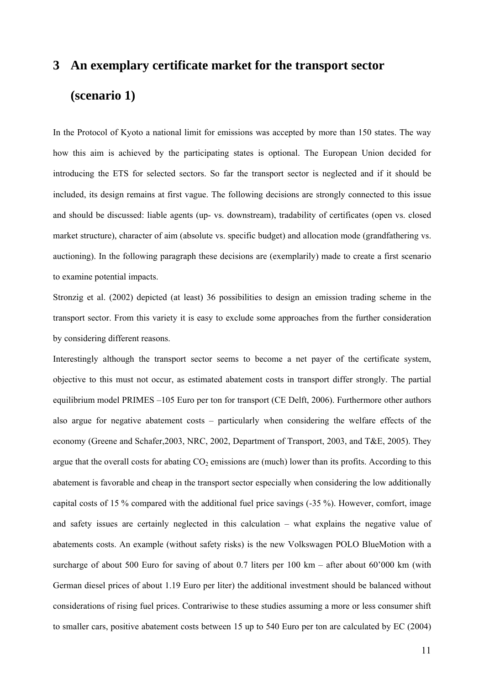# **3 An exemplary certificate market for the transport sector (scenario 1)**

In the Protocol of Kyoto a national limit for emissions was accepted by more than 150 states. The way how this aim is achieved by the participating states is optional. The European Union decided for introducing the ETS for selected sectors. So far the transport sector is neglected and if it should be included, its design remains at first vague. The following decisions are strongly connected to this issue and should be discussed: liable agents (up- vs. downstream), tradability of certificates (open vs. closed market structure), character of aim (absolute vs. specific budget) and allocation mode (grandfathering vs. auctioning). In the following paragraph these decisions are (exemplarily) made to create a first scenario to examine potential impacts.

Stronzig et al. (2002) depicted (at least) 36 possibilities to design an emission trading scheme in the transport sector. From this variety it is easy to exclude some approaches from the further consideration by considering different reasons.

Interestingly although the transport sector seems to become a net payer of the certificate system, objective to this must not occur, as estimated abatement costs in transport differ strongly. The partial equilibrium model PRIMES –105 Euro per ton for transport (CE Delft, 2006). Furthermore other authors also argue for negative abatement costs - particularly when considering the welfare effects of the economy (Greene and Schafer,2003, NRC, 2002, Department of Transport, 2003, and T&E, 2005). They argue that the overall costs for abating  $CO<sub>2</sub>$  emissions are (much) lower than its profits. According to this abatement is favorable and cheap in the transport sector especially when considering the low additionally capital costs of 15 % compared with the additional fuel price savings (-35 %). However, comfort, image and safety issues are certainly neglected in this calculation  $-$  what explains the negative value of abatements costs. An example (without safety risks) is the new Volkswagen POLO BlueMotion with a surcharge of about 500 Euro for saving of about 0.7 liters per 100 km – after about 60'000 km (with German diesel prices of about 1.19 Euro per liter) the additional investment should be balanced without considerations of rising fuel prices. Contrariwise to these studies assuming a more or less consumer shift to smaller cars, positive abatement costs between 15 up to 540 Euro per ton are calculated by EC (2004)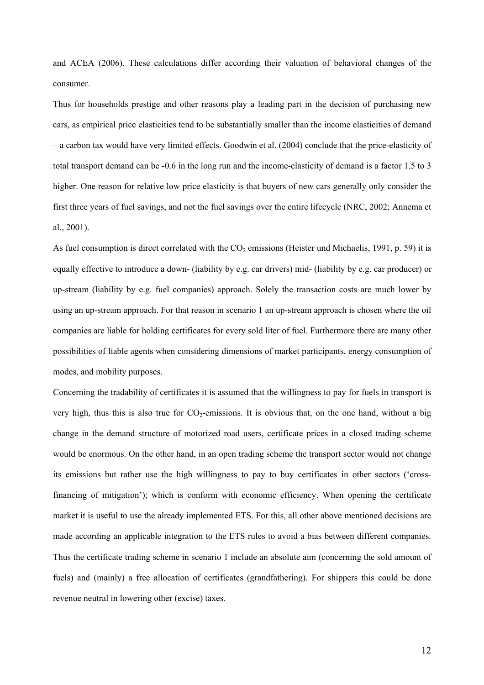and ACEA (2006). These calculations differ according their valuation of behavioral changes of the consumer.

Thus for households prestige and other reasons play a leading part in the decision of purchasing new cars, as empirical price elasticities tend to be substantially smaller than the income elasticities of demand ñ a carbon tax would have very limited effects. Goodwin et al. (2004) conclude that the price-elasticity of total transport demand can be -0.6 in the long run and the income-elasticity of demand is a factor 1.5 to 3 higher. One reason for relative low price elasticity is that buyers of new cars generally only consider the first three years of fuel savings, and not the fuel savings over the entire lifecycle (NRC, 2002; Annema et al., 2001).

As fuel consumption is direct correlated with the  $CO<sub>2</sub>$  emissions (Heister und Michaelis, 1991, p. 59) it is equally effective to introduce a down- (liability by e.g. car drivers) mid- (liability by e.g. car producer) or up-stream (liability by e.g. fuel companies) approach. Solely the transaction costs are much lower by using an up-stream approach. For that reason in scenario 1 an up-stream approach is chosen where the oil companies are liable for holding certificates for every sold liter of fuel. Furthermore there are many other possibilities of liable agents when considering dimensions of market participants, energy consumption of modes, and mobility purposes.

Concerning the tradability of certificates it is assumed that the willingness to pay for fuels in transport is very high, thus this is also true for  $CO_2$ -emissions. It is obvious that, on the one hand, without a big change in the demand structure of motorized road users, certificate prices in a closed trading scheme would be enormous. On the other hand, in an open trading scheme the transport sector would not change its emissions but rather use the high willingness to pay to buy certificates in other sectors (ëcrossfinancing of mitigation'); which is conform with economic efficiency. When opening the certificate market it is useful to use the already implemented ETS. For this, all other above mentioned decisions are made according an applicable integration to the ETS rules to avoid a bias between different companies. Thus the certificate trading scheme in scenario 1 include an absolute aim (concerning the sold amount of fuels) and (mainly) a free allocation of certificates (grandfathering). For shippers this could be done revenue neutral in lowering other (excise) taxes.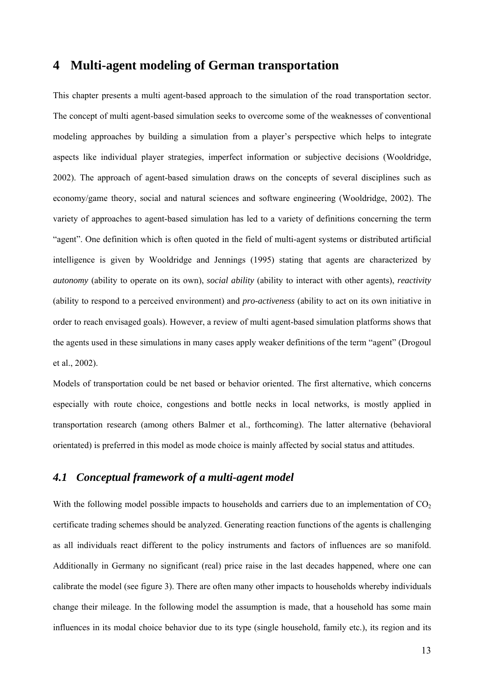## **4 Multi-agent modeling of German transportation**

This chapter presents a multi agent-based approach to the simulation of the road transportation sector. The concept of multi agent-based simulation seeks to overcome some of the weaknesses of conventional modeling approaches by building a simulation from a player's perspective which helps to integrate aspects like individual player strategies, imperfect information or subjective decisions (Wooldridge, 2002). The approach of agent-based simulation draws on the concepts of several disciplines such as economy/game theory, social and natural sciences and software engineering (Wooldridge, 2002). The variety of approaches to agent-based simulation has led to a variety of definitions concerning the term ìagentî. One definition which is often quoted in the field of multi-agent systems or distributed artificial intelligence is given by Wooldridge and Jennings (1995) stating that agents are characterized by *autonomy* (ability to operate on its own), *social ability* (ability to interact with other agents), *reactivity*  (ability to respond to a perceived environment) and *pro-activeness* (ability to act on its own initiative in order to reach envisaged goals). However, a review of multi agent-based simulation platforms shows that the agents used in these simulations in many cases apply weaker definitions of the term "agent" (Drogoul et al., 2002).

Models of transportation could be net based or behavior oriented. The first alternative, which concerns especially with route choice, congestions and bottle necks in local networks, is mostly applied in transportation research (among others Balmer et al., forthcoming). The latter alternative (behavioral orientated) is preferred in this model as mode choice is mainly affected by social status and attitudes.

## *4.1 Conceptual framework of a multi-agent model*

With the following model possible impacts to households and carriers due to an implementation of  $CO<sub>2</sub>$ certificate trading schemes should be analyzed. Generating reaction functions of the agents is challenging as all individuals react different to the policy instruments and factors of influences are so manifold. Additionally in Germany no significant (real) price raise in the last decades happened, where one can calibrate the model (see figure 3). There are often many other impacts to households whereby individuals change their mileage. In the following model the assumption is made, that a household has some main influences in its modal choice behavior due to its type (single household, family etc.), its region and its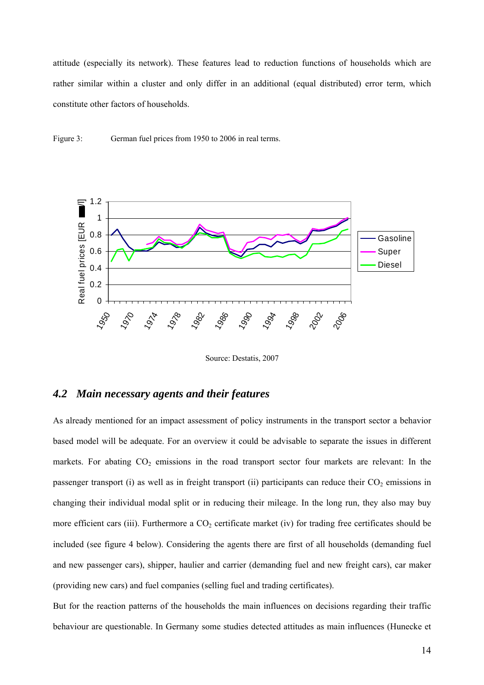attitude (especially its network). These features lead to reduction functions of households which are rather similar within a cluster and only differ in an additional (equal distributed) error term, which constitute other factors of households.

Figure 3: German fuel prices from 1950 to 2006 in real terms.



Source: Destatis, 2007

### *4.2 Main necessary agents and their features*

As already mentioned for an impact assessment of policy instruments in the transport sector a behavior based model will be adequate. For an overview it could be advisable to separate the issues in different markets. For abating  $CO<sub>2</sub>$  emissions in the road transport sector four markets are relevant: In the passenger transport (i) as well as in freight transport (ii) participants can reduce their  $CO<sub>2</sub>$  emissions in changing their individual modal split or in reducing their mileage. In the long run, they also may buy more efficient cars (iii). Furthermore a  $CO<sub>2</sub>$  certificate market (iv) for trading free certificates should be included (see figure 4 below). Considering the agents there are first of all households (demanding fuel and new passenger cars), shipper, haulier and carrier (demanding fuel and new freight cars), car maker (providing new cars) and fuel companies (selling fuel and trading certificates).

But for the reaction patterns of the households the main influences on decisions regarding their traffic behaviour are questionable. In Germany some studies detected attitudes as main influences (Hunecke et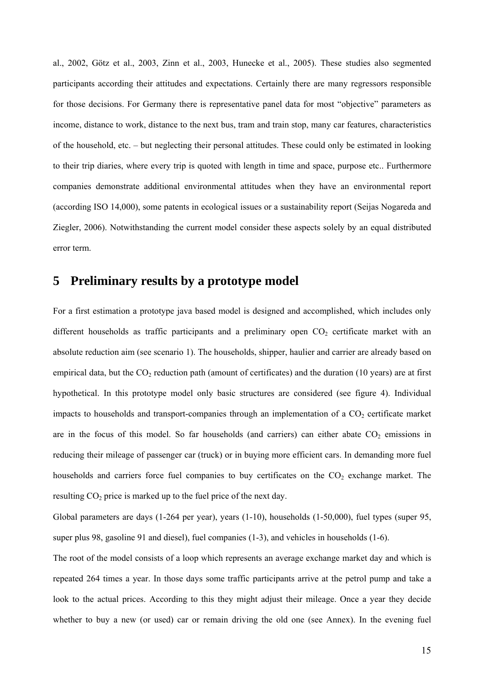al., 2002, Götz et al., 2003, Zinn et al., 2003, Hunecke et al., 2005). These studies also segmented participants according their attitudes and expectations. Certainly there are many regressors responsible for those decisions. For Germany there is representative panel data for most "objective" parameters as income, distance to work, distance to the next bus, tram and train stop, many car features, characteristics of the household, etc. – but neglecting their personal attitudes. These could only be estimated in looking to their trip diaries, where every trip is quoted with length in time and space, purpose etc.. Furthermore companies demonstrate additional environmental attitudes when they have an environmental report (according ISO 14,000), some patents in ecological issues or a sustainability report (Seijas Nogareda and Ziegler, 2006). Notwithstanding the current model consider these aspects solely by an equal distributed error term.

## **5 Preliminary results by a prototype model**

For a first estimation a prototype java based model is designed and accomplished, which includes only different households as traffic participants and a preliminary open  $CO<sub>2</sub>$  certificate market with an absolute reduction aim (see scenario 1). The households, shipper, haulier and carrier are already based on empirical data, but the  $CO<sub>2</sub>$  reduction path (amount of certificates) and the duration (10 years) are at first hypothetical. In this prototype model only basic structures are considered (see figure 4). Individual impacts to households and transport-companies through an implementation of a  $CO<sub>2</sub>$  certificate market are in the focus of this model. So far households (and carriers) can either abate  $CO<sub>2</sub>$  emissions in reducing their mileage of passenger car (truck) or in buying more efficient cars. In demanding more fuel households and carriers force fuel companies to buy certificates on the  $CO<sub>2</sub>$  exchange market. The resulting  $CO<sub>2</sub>$  price is marked up to the fuel price of the next day.

Global parameters are days (1-264 per year), years (1-10), households (1-50,000), fuel types (super 95, super plus 98, gasoline 91 and diesel), fuel companies (1-3), and vehicles in households (1-6).

The root of the model consists of a loop which represents an average exchange market day and which is repeated 264 times a year. In those days some traffic participants arrive at the petrol pump and take a look to the actual prices. According to this they might adjust their mileage. Once a year they decide whether to buy a new (or used) car or remain driving the old one (see Annex). In the evening fuel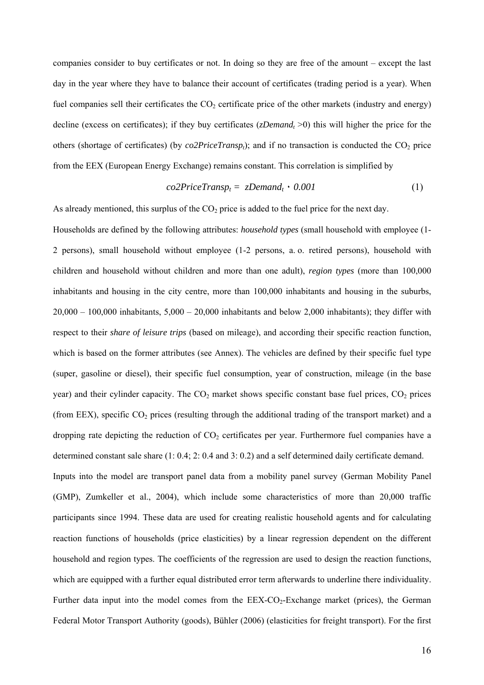companies consider to buy certificates or not. In doing so they are free of the amount – except the last day in the year where they have to balance their account of certificates (trading period is a year). When fuel companies sell their certificates the  $CO<sub>2</sub>$  certificate price of the other markets (industry and energy) decline (excess on certificates); if they buy certificates ( $zDemand<sub>t</sub> > 0$ ) this will higher the price for the others (shortage of certificates) (by  $co2Price Transport$ ; and if no transaction is conducted the  $CO<sub>2</sub>$  price from the EEX (European Energy Exchange) remains constant. This correlation is simplified by

$$
co2PriceTransp_t = zDemand_t \cdot 0.001 \tag{1}
$$

As already mentioned, this surplus of the  $CO<sub>2</sub>$  price is added to the fuel price for the next day.

Households are defined by the following attributes: *household types* (small household with employee (1- 2 persons), small household without employee (1-2 persons, a. o. retired persons), household with children and household without children and more than one adult), *region types* (more than 100,000 inhabitants and housing in the city centre, more than 100,000 inhabitants and housing in the suburbs,  $20,000 - 100,000$  inhabitants,  $5,000 - 20,000$  inhabitants and below 2,000 inhabitants); they differ with respect to their *share of leisure trips* (based on mileage), and according their specific reaction function, which is based on the former attributes (see Annex). The vehicles are defined by their specific fuel type (super, gasoline or diesel), their specific fuel consumption, year of construction, mileage (in the base year) and their cylinder capacity. The  $CO<sub>2</sub>$  market shows specific constant base fuel prices,  $CO<sub>2</sub>$  prices (from EEX), specific  $CO<sub>2</sub>$  prices (resulting through the additional trading of the transport market) and a dropping rate depicting the reduction of  $CO<sub>2</sub>$  certificates per year. Furthermore fuel companies have a determined constant sale share (1: 0.4; 2: 0.4 and 3: 0.2) and a self determined daily certificate demand. Inputs into the model are transport panel data from a mobility panel survey (German Mobility Panel (GMP), Zumkeller et al., 2004), which include some characteristics of more than 20,000 traffic participants since 1994. These data are used for creating realistic household agents and for calculating reaction functions of households (price elasticities) by a linear regression dependent on the different household and region types. The coefficients of the regression are used to design the reaction functions, which are equipped with a further equal distributed error term afterwards to underline there individuality. Further data input into the model comes from the  $EEX-CO<sub>2</sub>-Exchange$  market (prices), the German Federal Motor Transport Authority (goods), Bühler (2006) (elasticities for freight transport). For the first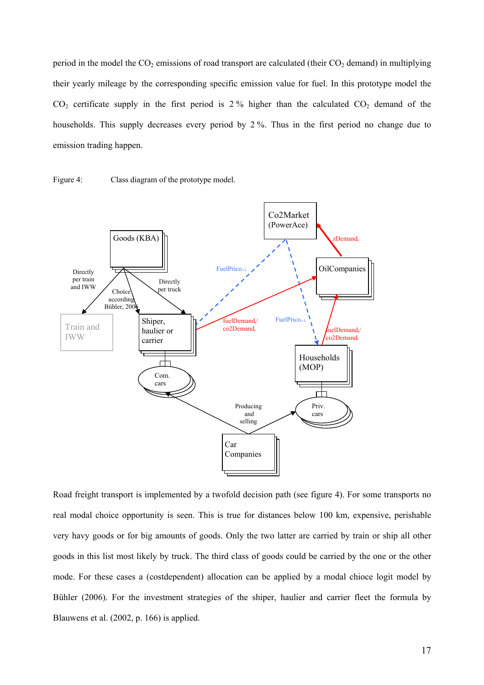period in the model the  $CO_2$  emissions of road transport are calculated (their  $CO_2$  demand) in multiplying their yearly mileage by the corresponding specific emission value for fuel. In this prototype model the  $CO<sub>2</sub>$  certificate supply in the first period is 2% higher than the calculated  $CO<sub>2</sub>$  demand of the households. This supply decreases every period by 2 %. Thus in the first period no change due to emission trading happen.





Road freight transport is implemented by a twofold decision path (see figure 4). For some transports no real modal choice opportunity is seen. This is true for distances below 100 km, expensive, perishable very havy goods or for big amounts of goods. Only the two latter are carried by train or ship all other goods in this list most likely by truck. The third class of goods could be carried by the one or the other mode. For these cases a (costdependent) allocation can be applied by a modal chioce logit model by Bühler (2006). For the investment strategies of the shiper, haulier and carrier fleet the formula by Blauwens et al. (2002, p. 166) is applied.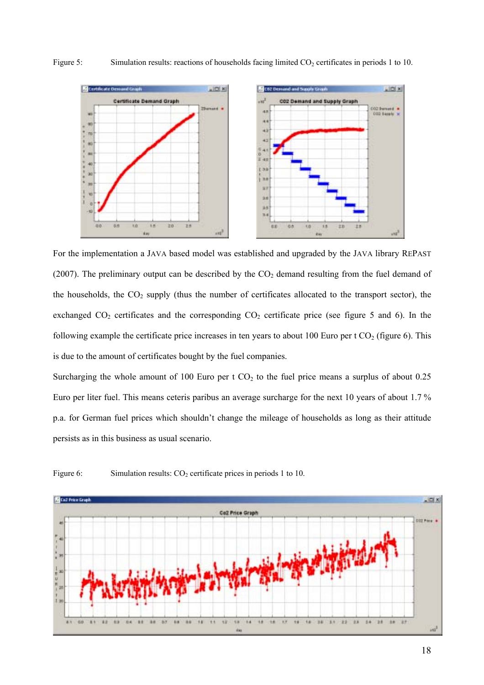

Figure 5: Simulation results: reactions of households facing limited  $CO<sub>2</sub>$  certificates in periods 1 to 10.

For the implementation a JAVA based model was established and upgraded by the JAVA library REPAST (2007). The preliminary output can be described by the  $CO<sub>2</sub>$  demand resulting from the fuel demand of the households, the  $CO<sub>2</sub>$  supply (thus the number of certificates allocated to the transport sector), the exchanged  $CO_2$  certificates and the corresponding  $CO_2$  certificate price (see figure 5 and 6). In the following example the certificate price increases in ten years to about 100 Euro per t  $CO<sub>2</sub>$  (figure 6). This is due to the amount of certificates bought by the fuel companies.

Surcharging the whole amount of 100 Euro per t  $CO<sub>2</sub>$  to the fuel price means a surplus of about 0.25 Euro per liter fuel. This means ceteris paribus an average surcharge for the next 10 years of about 1.7 % p.a. for German fuel prices which shouldn't change the mileage of households as long as their attitude persists as in this business as usual scenario.



Figure 6: Simulation results:  $CO<sub>2</sub>$  certificate prices in periods 1 to 10.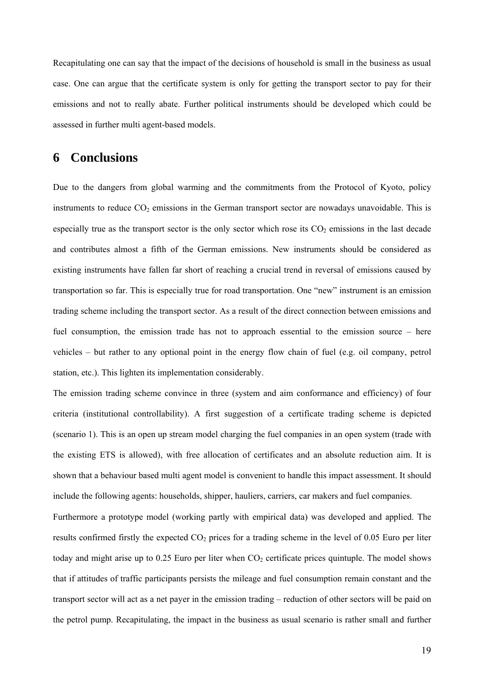Recapitulating one can say that the impact of the decisions of household is small in the business as usual case. One can argue that the certificate system is only for getting the transport sector to pay for their emissions and not to really abate. Further political instruments should be developed which could be assessed in further multi agent-based models.

## **6 Conclusions**

Due to the dangers from global warming and the commitments from the Protocol of Kyoto, policy instruments to reduce  $CO<sub>2</sub>$  emissions in the German transport sector are nowadays unavoidable. This is especially true as the transport sector is the only sector which rose its  $CO<sub>2</sub>$  emissions in the last decade and contributes almost a fifth of the German emissions. New instruments should be considered as existing instruments have fallen far short of reaching a crucial trend in reversal of emissions caused by transportation so far. This is especially true for road transportation. One "new" instrument is an emission trading scheme including the transport sector. As a result of the direct connection between emissions and fuel consumption, the emission trade has not to approach essential to the emission source  $-$  here vehicles  $-$  but rather to any optional point in the energy flow chain of fuel (e.g. oil company, petrol station, etc.). This lighten its implementation considerably.

The emission trading scheme convince in three (system and aim conformance and efficiency) of four criteria (institutional controllability). A first suggestion of a certificate trading scheme is depicted (scenario 1). This is an open up stream model charging the fuel companies in an open system (trade with the existing ETS is allowed), with free allocation of certificates and an absolute reduction aim. It is shown that a behaviour based multi agent model is convenient to handle this impact assessment. It should include the following agents: households, shipper, hauliers, carriers, car makers and fuel companies.

Furthermore a prototype model (working partly with empirical data) was developed and applied. The results confirmed firstly the expected  $CO<sub>2</sub>$  prices for a trading scheme in the level of 0.05 Euro per liter today and might arise up to  $0.25$  Euro per liter when  $CO<sub>2</sub>$  certificate prices quintuple. The model shows that if attitudes of traffic participants persists the mileage and fuel consumption remain constant and the transport sector will act as a net payer in the emission trading – reduction of other sectors will be paid on the petrol pump. Recapitulating, the impact in the business as usual scenario is rather small and further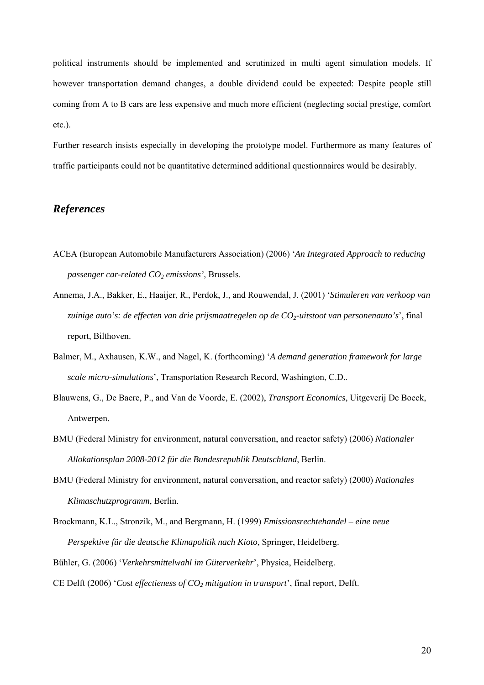political instruments should be implemented and scrutinized in multi agent simulation models. If however transportation demand changes, a double dividend could be expected: Despite people still coming from A to B cars are less expensive and much more efficient (neglecting social prestige, comfort etc.).

Further research insists especially in developing the prototype model. Furthermore as many features of traffic participants could not be quantitative determined additional questionnaires would be desirably.

### *References*

- ACEA (European Automobile Manufacturers Association) (2006) ë*An Integrated Approach to reducing passenger car-related CO2 emissions'*, Brussels.
- Annema, J.A., Bakker, E., Haaijer, R., Perdok, J., and Rouwendal, J. (2001) ë*Stimuleren van verkoop van*  zuinige auto's: de effecten van drie prijsmaatregelen op de CO<sub>2</sub>-uitstoot van personenauto's', final report, Bilthoven.
- Balmer, M., Axhausen, K.W., and Nagel, K. (forthcoming) ë*A demand generation framework for large scale micro-simulations'*, Transportation Research Record, Washington, C.D..
- Blauwens, G., De Baere, P., and Van de Voorde, E. (2002), *Transport Economics*, Uitgeverij De Boeck, Antwerpen.
- BMU (Federal Ministry for environment, natural conversation, and reactor safety) (2006) *Nationaler Allokationsplan 2008-2012 für die Bundesrepublik Deutschland*, Berlin.
- BMU (Federal Ministry for environment, natural conversation, and reactor safety) (2000) *Nationales Klimaschutzprogramm*, Berlin.
- Brockmann, K.L., Stronzik, M., and Bergmann, H. (1999) *Emissionsrechtehandel eine neue Perspektive für die deutsche Klimapolitik nach Kioto*, Springer, Heidelberg.

Bühler, G. (2006) 'Verkehrsmittelwahl im Güterverkehr', Physica, Heidelberg.

CE Delft (2006) 'Cost effectieness of CO<sub>2</sub> mitigation in transport', final report, Delft.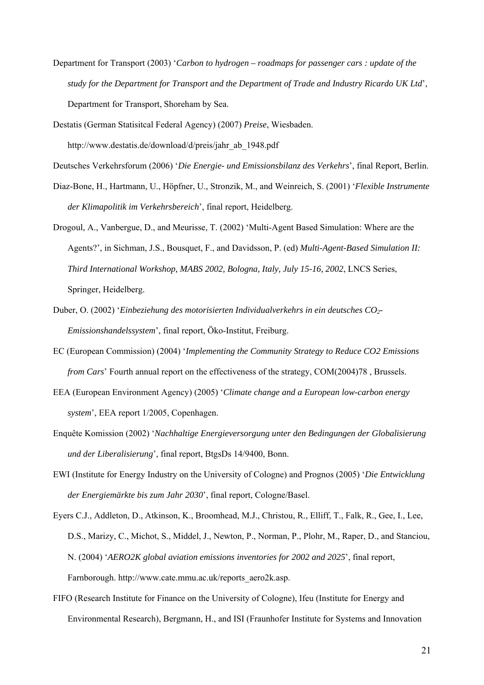Department for Transport (2003) 'Carbon to hydrogen – roadmaps for passenger cars : update of the *study for the Department for Transport and the Department of Trade and Industry Ricardo UK Ltd*í, Department for Transport, Shoreham by Sea.

Destatis (German Statisitcal Federal Agency) (2007) *Preise*, Wiesbaden. http://www.destatis.de/download/d/preis/jahr\_ab\_1948.pdf

Deutsches Verkehrsforum (2006) ë*Die Energie- und Emissionsbilanz des Verkehrs*í, final Report, Berlin.

- Diaz-Bone, H., Hartmann, U., Höpfner, U., Stronzik, M., and Weinreich, S. (2001) '*Flexible Instrumente der Klimapolitik im Verkehrsbereich*í, final report, Heidelberg.
- Drogoul, A., Vanbergue, D., and Meurisse, T. (2002) 'Multi-Agent Based Simulation: Where are the Agents?', in Sichman, J.S., Bousquet, F., and Davidsson, P. (ed) *Multi-Agent-Based Simulation II: Third International Workshop, MABS 2002, Bologna, Italy, July 15-16, 2002*, LNCS Series, Springer, Heidelberg.
- Duber, O. (2002) ë*Einbeziehung des motorisierten Individualverkehrs in ein deutsches CO2- Emissionshandelssystem*<sup>7</sup>, final report, Öko-Institut, Freiburg.
- EC (European Commission) (2004) ë*Implementing the Community Strategy to Reduce CO2 Emissions from Cars*<sup> $\prime$ </sup> Fourth annual report on the effectiveness of the strategy, COM(2004)78, Brussels.
- EEA (European Environment Agency) (2005) ë*Climate change and a European low-carbon energy system*í, EEA report 1/2005, Copenhagen.
- Enquête Komission (2002) 'Nachhaltige Energieversorgung unter den Bedingungen der Globalisierung und der Liberalisierung', final report, BtgsDs 14/9400, Bonn.
- EWI (Institute for Energy Industry on the University of Cologne) and Prognos (2005) ë*Die Entwicklung der Energiemärkte bis zum Jahr 2030*í, final report, Cologne/Basel.

Eyers C.J., Addleton, D., Atkinson, K., Broomhead, M.J., Christou, R., Elliff, T., Falk, R., Gee, I., Lee, D.S., Marizy, C., Michot, S., Middel, J., Newton, P., Norman, P., Plohr, M., Raper, D., and Stanciou, N. (2004) '*AERO2K global aviation emissions inventories for 2002 and 2025*', final report, Farnborough. http://www.cate.mmu.ac.uk/reports\_aero2k.asp.

FIFO (Research Institute for Finance on the University of Cologne), Ifeu (Institute for Energy and Environmental Research), Bergmann, H., and ISI (Fraunhofer Institute for Systems and Innovation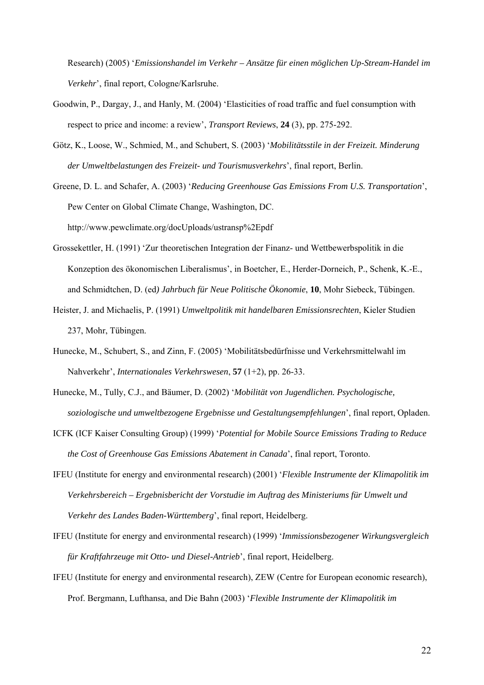Research) (2005) ë*Emissionshandel im Verkehr – Ansätze für einen möglichen Up-Stream-Handel im*  Verkehr', final report, Cologne/Karlsruhe.

- Goodwin, P., Dargay, J., and Hanly, M. (2004) ëElasticities of road traffic and fuel consumption with respect to price and income: a reviewí, *Transport Reviews*, **24** (3), pp. 275-292.
- Götz, K., Loose, W., Schmied, M., and Schubert, S. (2003) 'Mobilitätsstile in der Freizeit. Minderung *der Umweltbelastungen des Freizeit- und Tourismusverkehrs*í, final report, Berlin.

Greene, D. L. and Schafer, A. (2003) ë*Reducing Greenhouse Gas Emissions From U.S. Transportation*í, Pew Center on Global Climate Change, Washington, DC. http://www.pewclimate.org/docUploads/ustransp%2Epdf

- Grossekettler, H. (1991) 'Zur theoretischen Integration der Finanz- und Wettbewerbspolitik in die Konzeption des ökonomischen Liberalismus', in Boetcher, E., Herder-Dorneich, P., Schenk, K.-E., and Schmidtchen, D. (ed) *Jahrbuch für Neue Politische Ökonomie*, 10, Mohr Siebeck, Tübingen.
- Heister, J. and Michaelis, P. (1991) *Umweltpolitik mit handelbaren Emissionsrechten*, Kieler Studien 237, Mohr, Tübingen.
- Hunecke, M., Schubert, S., and Zinn, F. (2005) 'Mobilitätsbedürfnisse und Verkehrsmittelwahl im Nahverkehr<sup>'</sup>, *Internationales Verkehrswesen*, **57** (1+2), pp. 26-33.
- Hunecke, M., Tully, C.J., and Bäumer, D. (2002) '*Mobilität von Jugendlichen. Psychologische*, *soziologische und umweltbezogene Ergebnisse und Gestaltungsempfehlungen*í, final report, Opladen.
- ICFK (ICF Kaiser Consulting Group) (1999) ë*Potential for Mobile Source Emissions Trading to Reduce the Cost of Greenhouse Gas Emissions Abatement in Canada*í, final report, Toronto.
- IFEU (Institute for energy and environmental research) (2001) ë*Flexible Instrumente der Klimapolitik im Verkehrsbereich – Ergebnisbericht der Vorstudie im Auftrag des Ministeriums für Umwelt und Verkehr des Landes Baden-Württemberg*í, final report, Heidelberg.
- IFEU (Institute for energy and environmental research) (1999) ë*Immissionsbezogener Wirkungsvergleich für Kraftfahrzeuge mit Otto- und Diesel-Antrieb*í, final report, Heidelberg.
- IFEU (Institute for energy and environmental research), ZEW (Centre for European economic research), Prof. Bergmann, Lufthansa, and Die Bahn (2003) ë*Flexible Instrumente der Klimapolitik im*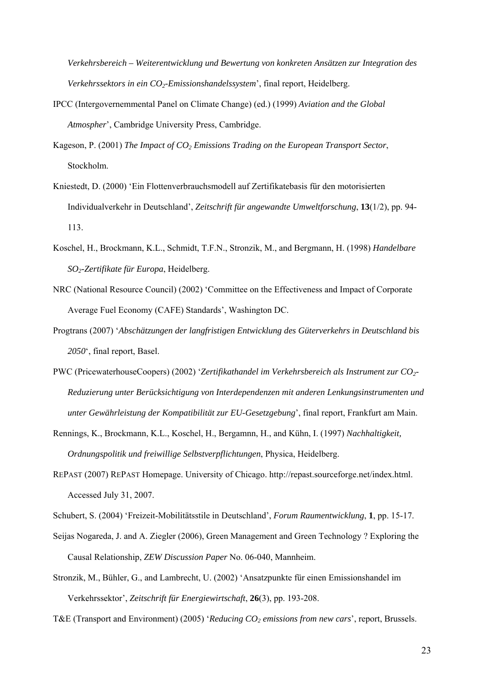*Verkehrsbereich – Weiterentwicklung und Bewertung von konkreten Ansätzen zur Integration des Verkehrssektors in ein CO2-Emissionshandelssystem*í, final report, Heidelberg.

- IPCC (Intergovernemmental Panel on Climate Change) (ed.) (1999) *Aviation and the Global*  Atmospher<sup>'</sup>, Cambridge University Press, Cambridge.
- Kageson, P. (2001) *The Impact of CO<sub>2</sub> Emissions Trading on the European Transport Sector*, Stockholm.
- Kniestedt, D. (2000) 'Ein Flottenverbrauchsmodell auf Zertifikatebasis für den motorisierten Individualverkehr in Deutschland', *Zeitschrift für angewandte Umweltforschung*, 13(1/2), pp. 94-113.
- Koschel, H., Brockmann, K.L., Schmidt, T.F.N., Stronzik, M., and Bergmann, H. (1998) *Handelbare SO2-Zertifikate für Europa*, Heidelberg.
- NRC (National Resource Council) (2002) 'Committee on the Effectiveness and Impact of Corporate Average Fuel Economy (CAFE) Standards', Washington DC.
- Progtrans (2007) ë*Abschätzungen der langfristigen Entwicklung des Güterverkehrs in Deutschland bis 2050*ë, final report, Basel.
- PWC (PricewaterhouseCoopers) (2002) ë*Zertifikathandel im Verkehrsbereich als Instrument zur CO2- Reduzierung unter Berücksichtigung von Interdependenzen mit anderen Lenkungsinstrumenten und unter Gewährleistung der Kompatibilität zur EU-Gesetzgebung*í, final report, Frankfurt am Main.
- Rennings, K., Brockmann, K.L., Koschel, H., Bergamnn, H., and Kühn, I. (1997) *Nachhaltigkeit, Ordnungspolitik und freiwillige Selbstverpflichtungen*, Physica, Heidelberg.
- REPAST (2007) REPAST Homepage. University of Chicago. http://repast.sourceforge.net/index.html. Accessed July 31, 2007.
- Schubert, S. (2004) 'Freizeit-Mobilitätsstile in Deutschland', *Forum Raumentwicklung*, **1**, pp. 15-17.
- Seijas Nogareda, J. and A. Ziegler (2006), Green Management and Green Technology ? Exploring the Causal Relationship, *ZEW Discussion Paper* No. 06-040, Mannheim.
- Stronzik, M., Bühler, G., and Lambrecht, U. (2002) 'Ansatzpunkte für einen Emissionshandel im Verkehrssektor', *Zeitschrift für Energiewirtschaft*, 26(3), pp. 193-208.

T&E (Transport and Environment) (2005) *'Reducing CO<sub>2</sub> emissions from new cars'*, report, Brussels.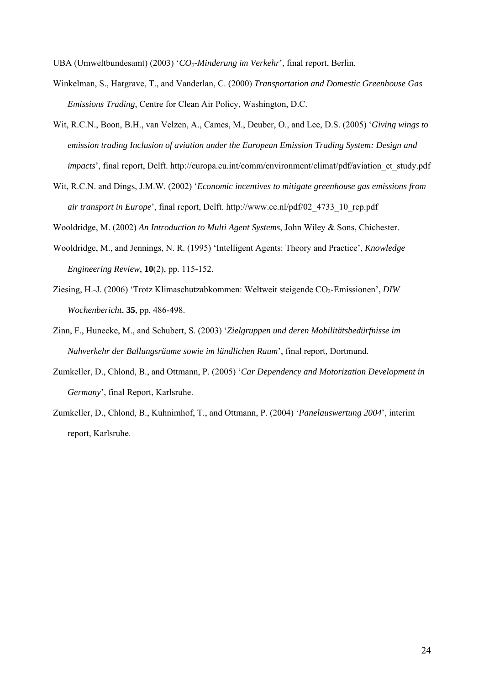UBA (Umweltbundesamt) (2003) 'CO<sub>2</sub>-Minderung im Verkehr', final report, Berlin.

- Winkelman, S., Hargrave, T., and Vanderlan, C. (2000) *Transportation and Domestic Greenhouse Gas Emissions Trading*, Centre for Clean Air Policy, Washington, D.C.
- Wit, R.C.N., Boon, B.H., van Velzen, A., Cames, M., Deuber, O., and Lee, D.S. (2005) ë*Giving wings to emission trading Inclusion of aviation under the European Emission Trading System: Design and impacts*<sup>'</sup>, final report, Delft. http://europa.eu.int/comm/environment/climat/pdf/aviation\_et\_study.pdf
- Wit, R.C.N. and Dings, J.M.W. (2002) 'Economic incentives to mitigate greenhouse gas emissions from *air transport in Europe*', final report, Delft. http://www.ce.nl/pdf/02\_4733\_10\_rep.pdf

Wooldridge, M. (2002) *An Introduction to Multi Agent Systems*, John Wiley & Sons, Chichester.

- Wooldridge, M., and Jennings, N. R. (1995) 'Intelligent Agents: Theory and Practice', *Knowledge Engineering Review*, **10**(2), pp. 115-152.
- Ziesing, H.-J. (2006) 'Trotz Klimaschutzabkommen: Weltweit steigende CO<sub>2</sub>-Emissionen', *DIW Wochenbericht*, **35**, pp. 486-498.
- Zinn, F., Hunecke, M., and Schubert, S. (2003) ë*Zielgruppen und deren Mobilitätsbedürfnisse im Nahverkehr der Ballungsräume sowie im ländlichen Raum*í, final report, Dortmund.
- Zumkeller, D., Chlond, B., and Ottmann, P. (2005) ë*Car Dependency and Motorization Development in*  Germany', final Report, Karlsruhe.
- Zumkeller, D., Chlond, B., Kuhnimhof, T., and Ottmann, P. (2004) 'Panelauswertung 2004', interim report, Karlsruhe.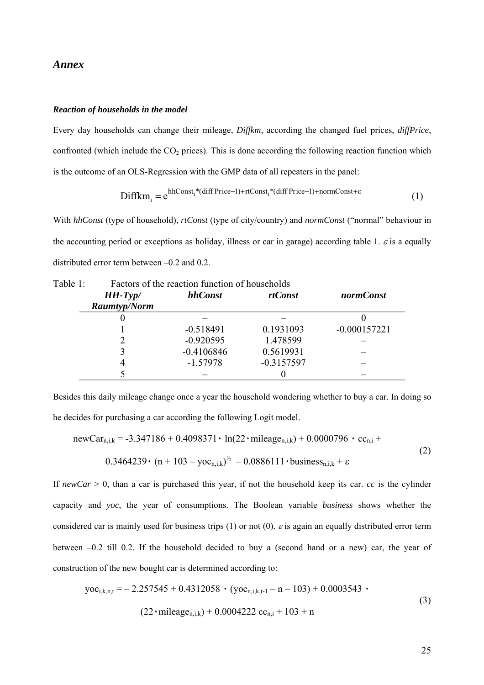#### *Annex*

#### *Reaction of households in the model*

Every day households can change their mileage, *Diffkm*, according the changed fuel prices, *diffPrice*, confronted (which include the  $CO<sub>2</sub>$  prices). This is done according the following reaction function which is the outcome of an OLS-Regression with the GMP data of all repeaters in the panel:

$$
Diffkm_{i} = e^{hhConst_{i}*(diff Price-1) + rtConst_{i}*(diff Price-1) + normConst + \epsilon}
$$
\n(1)

With *hhConst* (type of household), *rtConst* (type of city/country) and *normConst* ("normal" behaviour in the accounting period or exceptions as holiday, illness or car in garage) according table 1.  $\varepsilon$  is a equally distributed error term between  $-0.2$  and 0.2.

| Table 1: | Factors of the reaction function of households |              |                |                  |
|----------|------------------------------------------------|--------------|----------------|------------------|
|          | $HH-Typ/$                                      | hhConst      | <i>rtConst</i> | <i>normConst</i> |
|          | <b>Raumtyp/Norm</b>                            |              |                |                  |
|          |                                                |              |                |                  |
|          |                                                | $-0.518491$  | 0.1931093      | $-0.000157221$   |
|          |                                                | $-0.920595$  | 1.478599       |                  |
|          |                                                | $-0.4106846$ | 0.5619931      |                  |
|          |                                                | $-1.57978$   | $-0.3157597$   |                  |
|          |                                                |              |                |                  |

Besides this daily mileage change once a year the household wondering whether to buy a car. In doing so

he decides for purchasing a car according the following Logit model.

newCar<sub>n,i,k</sub> = -3.347186 + 0.4098371 · ln(22 · mileage<sub>n,i,k</sub>) + 0.0000796 · cc<sub>n,i</sub> +  
0.3464239 · (n + 103 – yoc<sub>n,i,k</sub>)<sup>1/2</sup> – 0.0886111 · business<sub>n,i,k</sub> + 
$$
\varepsilon
$$
 (2)

If  $newCar \geq 0$ , than a car is purchased this year, if not the household keep its car. *cc* is the cylinder capacity and *yoc*, the year of consumptions. The Boolean variable *business* shows whether the considered car is mainly used for business trips (1) or not (0).  $\varepsilon$  is again an equally distributed error term between  $-0.2$  till 0.2. If the household decided to buy a (second hand or a new) car, the year of construction of the new bought car is determined according to:

$$
yoc_{i,k,n,t} = -2.257545 + 0.4312058 \cdot (yoc_{n,i,k,t-1} - n - 103) + 0.0003543 \cdot (22 \cdot \text{mileage}_{n,i,k}) + 0.0004222 \text{ cc}_{n,i} + 103 + n
$$
\n(3)